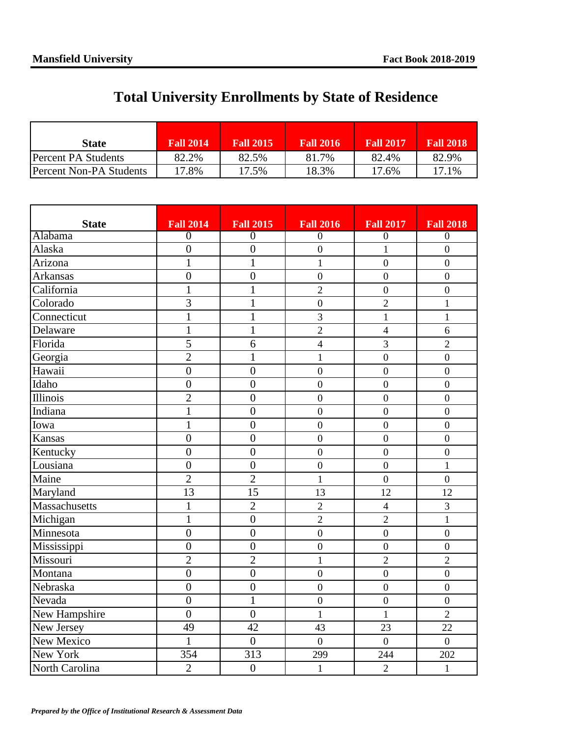## **Total University Enrollments by State of Residence**

| <b>State</b>            | <b>Fall 2014</b> | <b>Fall 2015</b> | <b>Fall 2016</b> | <b>Fall 2017</b> | <b>Fall 2018</b> |
|-------------------------|------------------|------------------|------------------|------------------|------------------|
| Percent PA Students     | 82.2%            | 82.5%            | $.7\%$<br>81     | 82.4%            | 82.9%            |
| Percent Non-PA Students | 17.8%            | 17.5%            | 18.3%            | 17.6%            | 17.1%            |

| <b>State</b>   | <b>Fall 2014</b> | <b>Fall 2015</b> | <b>Fall 2016</b> | <b>Fall 2017</b> | <b>Fall 2018</b> |
|----------------|------------------|------------------|------------------|------------------|------------------|
| Alabama        | $\overline{0}$   | $\overline{0}$   | $\overline{0}$   | $\overline{0}$   | $\overline{0}$   |
| Alaska         | $\overline{0}$   | $\overline{0}$   | $\overline{0}$   | $\mathbf{1}$     | $\overline{0}$   |
| Arizona        | $\mathbf{1}$     | $\mathbf{1}$     | $\mathbf{1}$     | $\overline{0}$   | $\overline{0}$   |
| Arkansas       | $\overline{0}$   | $\overline{0}$   | $\boldsymbol{0}$ | $\overline{0}$   | $\overline{0}$   |
| California     | $\mathbf{1}$     | $\mathbf{1}$     | $\overline{2}$   | $\overline{0}$   | $\overline{0}$   |
| Colorado       | 3                | $\mathbf{1}$     | $\boldsymbol{0}$ | $\overline{2}$   | $\mathbf{1}$     |
| Connecticut    | $\mathbf{1}$     | $\mathbf{1}$     | 3                | $\mathbf{1}$     | $\mathbf{1}$     |
| Delaware       | $\mathbf{1}$     | $\mathbf{1}$     | $\overline{2}$   | $\overline{4}$   | 6                |
| Florida        | 5                | 6                | $\overline{4}$   | 3                | $\overline{2}$   |
| Georgia        | $\overline{2}$   | $\mathbf{1}$     | $\mathbf{1}$     | $\boldsymbol{0}$ | $\overline{0}$   |
| Hawaii         | $\boldsymbol{0}$ | $\overline{0}$   | $\boldsymbol{0}$ | $\overline{0}$   | $\overline{0}$   |
| Idaho          | $\overline{0}$   | $\overline{0}$   | $\overline{0}$   | $\overline{0}$   | $\overline{0}$   |
| Illinois       | $\overline{c}$   | $\overline{0}$   | $\boldsymbol{0}$ | $\overline{0}$   | $\overline{0}$   |
| Indiana        | $\mathbf{1}$     | $\overline{0}$   | $\overline{0}$   | $\mathbf{0}$     | $\overline{0}$   |
| Iowa           | $\mathbf{1}$     | $\boldsymbol{0}$ | $\overline{0}$   | $\boldsymbol{0}$ | $\boldsymbol{0}$ |
| Kansas         | $\overline{0}$   | $\overline{0}$   | $\boldsymbol{0}$ | $\boldsymbol{0}$ | $\overline{0}$   |
| Kentucky       | $\overline{0}$   | $\overline{0}$   | $\boldsymbol{0}$ | $\mathbf{0}$     | $\mathbf{0}$     |
| Lousiana       | $\overline{0}$   | $\overline{0}$   | $\boldsymbol{0}$ | $\overline{0}$   | $\mathbf{1}$     |
| Maine          | $\overline{c}$   | $\overline{2}$   | $\mathbf{1}$     | $\mathbf{0}$     | $\overline{0}$   |
| Maryland       | 13               | 15               | 13               | 12               | 12               |
| Massachusetts  | $\mathbf{1}$     | $\overline{2}$   | $\overline{2}$   | $\overline{4}$   | 3                |
| Michigan       | $\mathbf{1}$     | $\boldsymbol{0}$ | $\overline{2}$   | $\overline{2}$   | $\mathbf{1}$     |
| Minnesota      | $\overline{0}$   | $\boldsymbol{0}$ | $\mathbf{0}$     | $\boldsymbol{0}$ | $\boldsymbol{0}$ |
| Mississippi    | $\boldsymbol{0}$ | $\overline{0}$   | $\boldsymbol{0}$ | $\boldsymbol{0}$ | $\overline{0}$   |
| Missouri       | $\overline{2}$   | $\overline{2}$   | $\mathbf{1}$     | $\overline{2}$   | $\overline{2}$   |
| Montana        | $\overline{0}$   | $\overline{0}$   | $\overline{0}$   | $\overline{0}$   | $\overline{0}$   |
| Nebraska       | $\overline{0}$   | $\overline{0}$   | $\boldsymbol{0}$ | $\overline{0}$   | $\overline{0}$   |
| Nevada         | $\overline{0}$   | $\overline{1}$   | $\overline{0}$   | $\overline{0}$   | $\overline{0}$   |
| New Hampshire  | $\overline{0}$   | $\overline{0}$   | $\mathbf{1}$     | $\mathbf{1}$     | $\overline{2}$   |
| New Jersey     | 49               | 42               | 43               | 23               | 22               |
| New Mexico     | $\mathbf{1}$     | $\overline{0}$   | $\boldsymbol{0}$ | $\overline{0}$   | $\overline{0}$   |
| New York       | 354              | 313              | 299              | 244              | 202              |
| North Carolina | $\overline{2}$   | $\overline{0}$   | $\mathbf{1}$     | $\overline{2}$   | $\mathbf{1}$     |